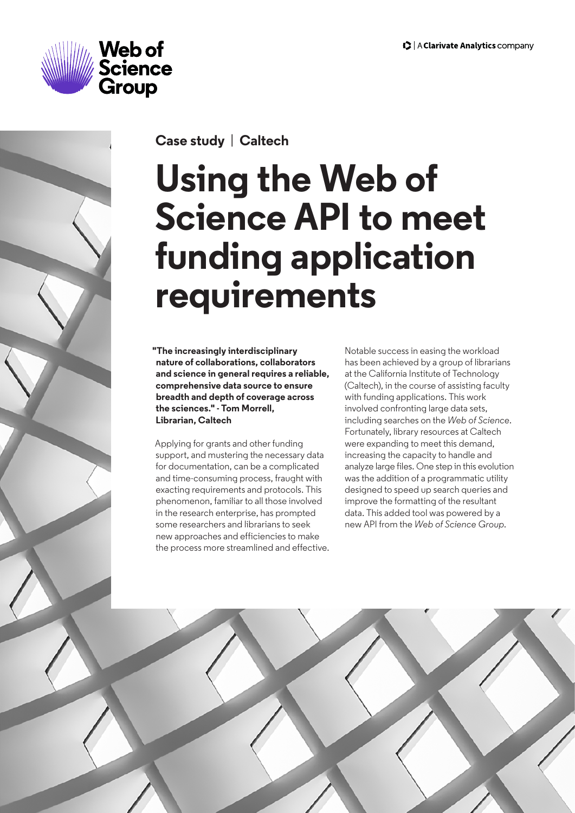



**Case study** | **Caltech**

# **Using the Web of Science API to meet funding application requirements**

**"The increasingly interdisciplinary nature of collaborations, collaborators and science in general requires a reliable, comprehensive data source to ensure breadth and depth of coverage across the sciences." - Tom Morrell, Librarian, Caltech**

Applying for grants and other funding support, and mustering the necessary data for documentation, can be a complicated and time-consuming process, fraught with exacting requirements and protocols. This phenomenon, familiar to all those involved in the research enterprise, has prompted some researchers and librarians to seek new approaches and efficiencies to make the process more streamlined and effective. Notable success in easing the workload has been achieved by a group of librarians at the California Institute of Technology (Caltech), in the course of assisting faculty with funding applications. This work involved confronting large data sets, including searches on the *Web of Science*. Fortunately, library resources at Caltech were expanding to meet this demand, increasing the capacity to handle and analyze large files. One step in this evolution was the addition of a programmatic utility designed to speed up search queries and improve the formatting of the resultant data. This added tool was powered by a new API from the *Web of Science Group.*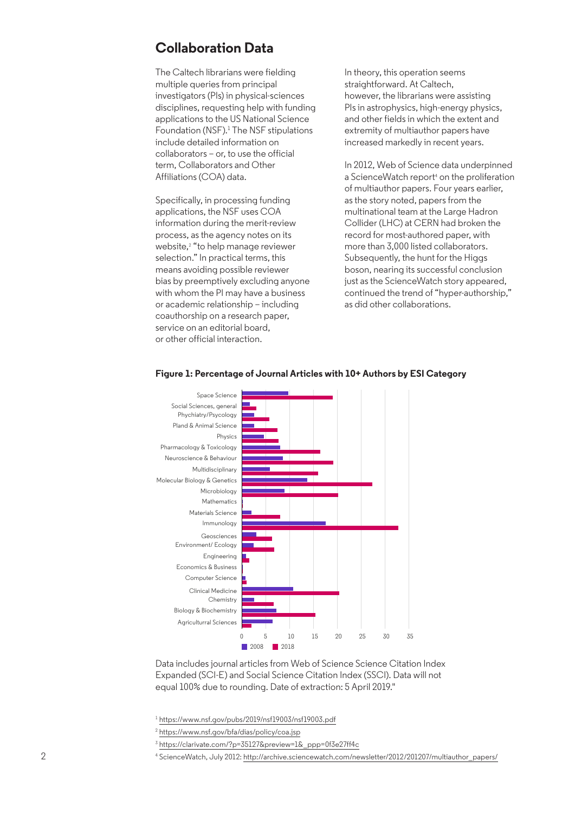### **Collaboration Data**

The Caltech librarians were fielding multiple queries from principal investigators (PIs) in physical-sciences disciplines, requesting help with funding applications to the US National Science Foundation (NSF).<sup>1</sup> The NSF stipulations include detailed information on collaborators – or, to use the official term, Collaborators and Other Affiliations (COA) data.

Specifically, in processing funding applications, the NSF uses COA information during the merit-review process, as the agency notes on its website,2 "to help manage reviewer selection." In practical terms, this means avoiding possible reviewer bias by preemptively excluding anyone with whom the PI may have a business or academic relationship – including coauthorship on a research paper, service on an editorial board, or other official interaction.

In theory, this operation seems straightforward. At Caltech, however, the librarians were assisting PIs in astrophysics, high-energy physics, and other fields in which the extent and extremity of multiauthor papers have increased markedly in recent years.

In 2012, Web of Science data underpinned a ScienceWatch report<sup>4</sup> on the proliferation of multiauthor papers. Four years earlier, as the story noted, papers from the multinational team at the Large Hadron Collider (LHC) at CERN had broken the record for most-authored paper, with more than 3,000 listed collaborators. Subsequently, the hunt for the Higgs boson, nearing its successful conclusion just as the ScienceWatch story appeared, continued the trend of "hyper-authorship," as did other collaborations.



#### **Figure 1: Percentage of Journal Articles with 10+ Authors by ESI Category**

Data includes journal articles from Web of Science Science Citation Index Expanded (SCI-E) and Social Science Citation Index (SSCI). Data will not equal 100% due to rounding. Date of extraction: 5 April 2019."

<sup>1</sup> https://www.nsf.gov/pubs/2019/nsf19003/nsf19003.pdf

- <sup>2</sup> https://www.nsf.gov/bfa/dias/policy/coa.jsp
- <sup>3</sup> https://clarivate.com/?p=35127&preview=1&\_ppp=0f3e27ff4c

<sup>4</sup> ScienceWatch, July 2012: http://archive.sciencewatch.com/newsletter/2012/201207/multiauthor\_papers/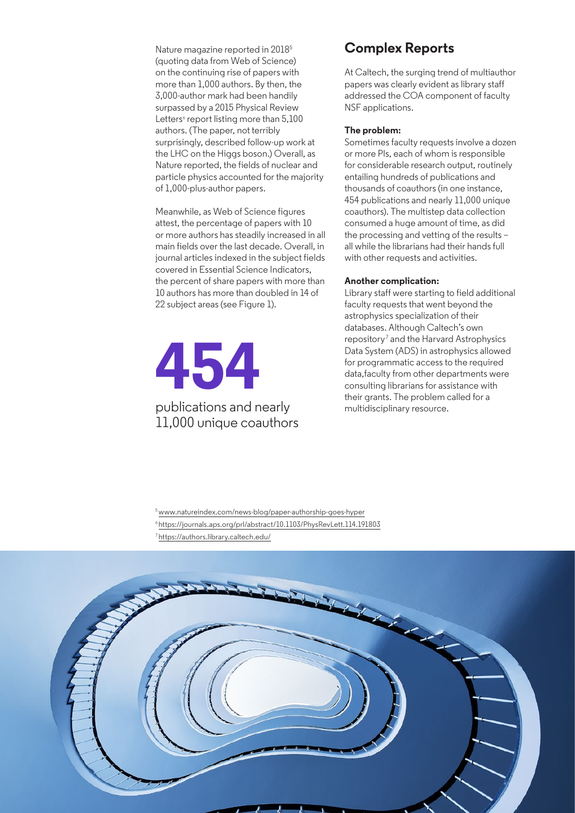Nature magazine reported in 20185 (quoting data from Web of Science) on the continuing rise of papers with more than 1,000 authors. By then, the 3,000-author mark had been handily surpassed by a 2015 Physical Review Letters<sup>6</sup> report listing more than 5,100 authors. (The paper, not terribly surprisingly, described follow-up work at the LHC on the Higgs boson.) Overall, as Nature reported, the fields of nuclear and particle physics accounted for the majority of 1,000-plus-author papers.

Meanwhile, as Web of Science figures attest, the percentage of papers with 10 or more authors has steadily increased in all main fields over the last decade. Overall, in journal articles indexed in the subject fields covered in Essential Science Indicators, the percent of share papers with more than 10 authors has more than doubled in 14 of 22 subject areas (see Figure 1).

# **454**  publications and nearly

# 11,000 unique coauthors

## **Complex Reports**

At Caltech, the surging trend of multiauthor papers was clearly evident as library staff addressed the COA component of faculty NSF applications.

#### **The problem:**

Sometimes faculty requests involve a dozen or more PIs, each of whom is responsible for considerable research output, routinely entailing hundreds of publications and thousands of coauthors (in one instance, 454 publications and nearly 11,000 unique coauthors). The multistep data collection consumed a huge amount of time, as did the processing and vetting of the results – all while the librarians had their hands full with other requests and activities.

#### **Another complication:**

Library staff were starting to field additional faculty requests that went beyond the astrophysics specialization of their databases. Although Caltech's own repository<sup>7</sup> and the Harvard Astrophysics Data System (ADS) in astrophysics allowed for programmatic access to the required data, faculty from other departments were consulting librarians for assistance with their grants. The problem called for a multidisciplinary resource.

5 www.natureindex.com/news-blog/paper-authorship-goes-hyper 6 https://journals.aps.org/prl/abstract/10.1103/PhysRevLett.114.191803 7 https://authors.library.caltech.edu/